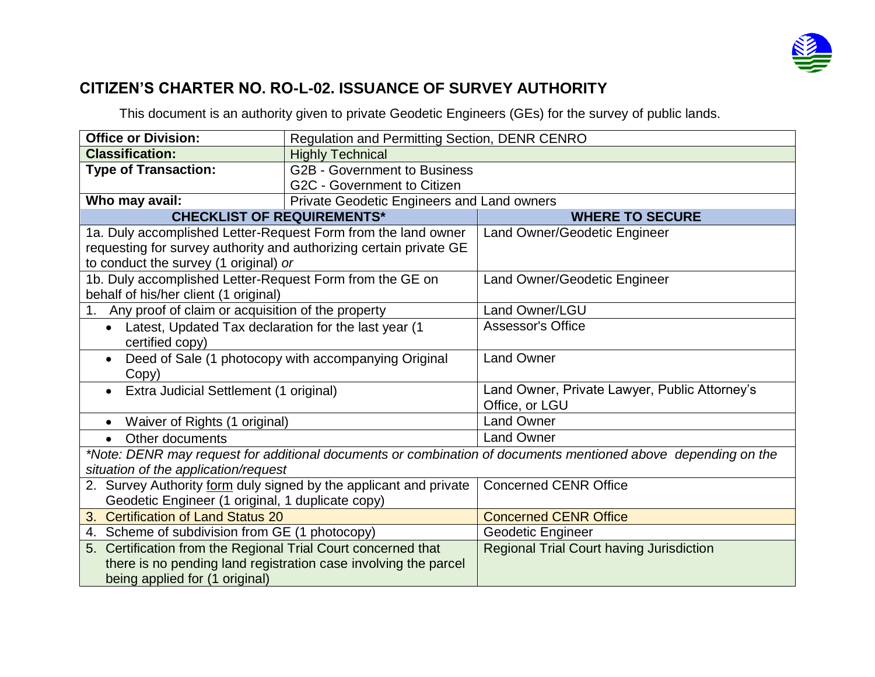

## **CITIZEN'S CHARTER NO. RO-L-02. ISSUANCE OF SURVEY AUTHORITY**

This document is an authority given to private Geodetic Engineers (GEs) for the survey of public lands.

| <b>Office or Division:</b>                                                                                    | Regulation and Permitting Section, DENR CENRO                   |                                                 |  |  |  |  |
|---------------------------------------------------------------------------------------------------------------|-----------------------------------------------------------------|-------------------------------------------------|--|--|--|--|
| <b>Classification:</b>                                                                                        | <b>Highly Technical</b>                                         |                                                 |  |  |  |  |
| <b>Type of Transaction:</b>                                                                                   | <b>G2B - Government to Business</b>                             |                                                 |  |  |  |  |
|                                                                                                               | G2C - Government to Citizen                                     |                                                 |  |  |  |  |
| Who may avail:                                                                                                | Private Geodetic Engineers and Land owners                      |                                                 |  |  |  |  |
| <b>CHECKLIST OF REQUIREMENTS*</b>                                                                             |                                                                 | <b>WHERE TO SECURE</b>                          |  |  |  |  |
| 1a. Duly accomplished Letter-Request Form from the land owner                                                 |                                                                 | Land Owner/Geodetic Engineer                    |  |  |  |  |
| requesting for survey authority and authorizing certain private GE                                            |                                                                 |                                                 |  |  |  |  |
| to conduct the survey (1 original) or                                                                         |                                                                 |                                                 |  |  |  |  |
| 1b. Duly accomplished Letter-Request Form from the GE on                                                      |                                                                 | Land Owner/Geodetic Engineer                    |  |  |  |  |
| behalf of his/her client (1 original)                                                                         |                                                                 |                                                 |  |  |  |  |
| 1. Any proof of claim or acquisition of the property                                                          |                                                                 | Land Owner/LGU                                  |  |  |  |  |
| Latest, Updated Tax declaration for the last year (1<br>$\bullet$                                             |                                                                 | <b>Assessor's Office</b>                        |  |  |  |  |
| certified copy)                                                                                               |                                                                 |                                                 |  |  |  |  |
| Deed of Sale (1 photocopy with accompanying Original                                                          |                                                                 | <b>Land Owner</b>                               |  |  |  |  |
| Copy)                                                                                                         |                                                                 |                                                 |  |  |  |  |
| Extra Judicial Settlement (1 original)                                                                        |                                                                 | Land Owner, Private Lawyer, Public Attorney's   |  |  |  |  |
|                                                                                                               |                                                                 | Office, or LGU                                  |  |  |  |  |
| Waiver of Rights (1 original)                                                                                 |                                                                 | <b>Land Owner</b>                               |  |  |  |  |
| Other documents<br>$\bullet$                                                                                  |                                                                 | <b>Land Owner</b>                               |  |  |  |  |
| *Note: DENR may request for additional documents or combination of documents mentioned above depending on the |                                                                 |                                                 |  |  |  |  |
| situation of the application/request                                                                          |                                                                 |                                                 |  |  |  |  |
| 2. Survey Authority form duly signed by the applicant and private                                             |                                                                 | <b>Concerned CENR Office</b>                    |  |  |  |  |
| Geodetic Engineer (1 original, 1 duplicate copy)                                                              |                                                                 |                                                 |  |  |  |  |
| <b>Certification of Land Status 20</b><br>3.                                                                  |                                                                 | <b>Concerned CENR Office</b>                    |  |  |  |  |
| 4. Scheme of subdivision from GE (1 photocopy)                                                                |                                                                 | Geodetic Engineer                               |  |  |  |  |
| 5. Certification from the Regional Trial Court concerned that                                                 |                                                                 | <b>Regional Trial Court having Jurisdiction</b> |  |  |  |  |
|                                                                                                               | there is no pending land registration case involving the parcel |                                                 |  |  |  |  |
| being applied for (1 original)                                                                                |                                                                 |                                                 |  |  |  |  |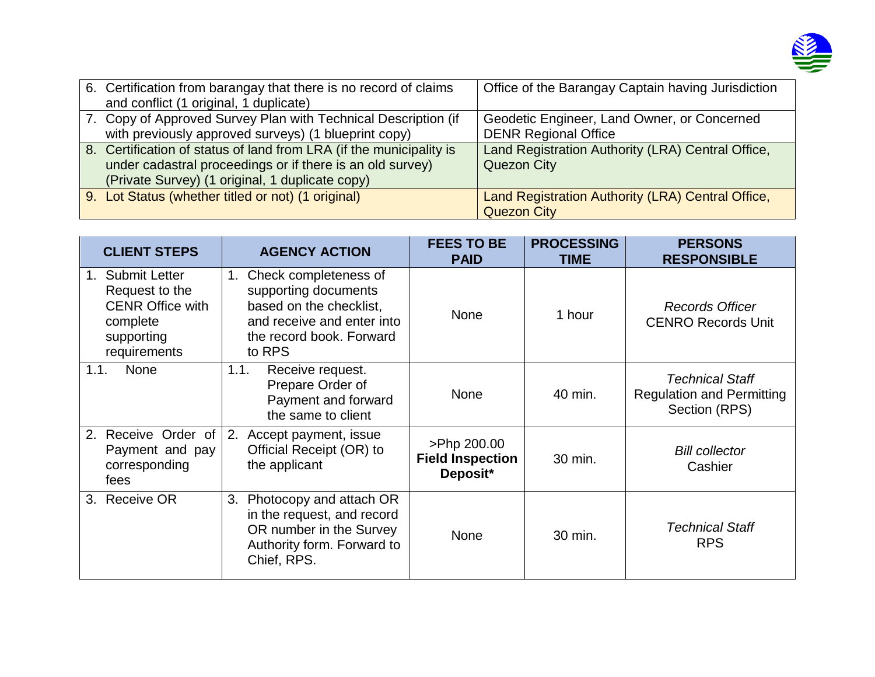

| 6. Certification from barangay that there is no record of claims<br>and conflict (1 original, 1 duplicate)                                                                          | Office of the Barangay Captain having Jurisdiction                         |
|-------------------------------------------------------------------------------------------------------------------------------------------------------------------------------------|----------------------------------------------------------------------------|
| 7. Copy of Approved Survey Plan with Technical Description (if<br>with previously approved surveys) (1 blueprint copy)                                                              | Geodetic Engineer, Land Owner, or Concerned<br><b>DENR Regional Office</b> |
| 8. Certification of status of land from LRA (if the municipality is<br>under cadastral proceedings or if there is an old survey)<br>(Private Survey) (1 original, 1 duplicate copy) | Land Registration Authority (LRA) Central Office,<br><b>Quezon City</b>    |
| 9. Lot Status (whether titled or not) (1 original)                                                                                                                                  | Land Registration Authority (LRA) Central Office,<br><b>Quezon City</b>    |

| <b>CLIENT STEPS</b>                                                                                               | <b>AGENCY ACTION</b>                                                                                                                               | <b>FEES TO BE</b><br><b>PAID</b>                   | <b>PROCESSING</b><br><b>TIME</b> | <b>PERSONS</b><br><b>RESPONSIBLE</b>                                        |
|-------------------------------------------------------------------------------------------------------------------|----------------------------------------------------------------------------------------------------------------------------------------------------|----------------------------------------------------|----------------------------------|-----------------------------------------------------------------------------|
| <b>Submit Letter</b><br>1.<br>Request to the<br><b>CENR Office with</b><br>complete<br>supporting<br>requirements | Check completeness of<br>1.<br>supporting documents<br>based on the checklist,<br>and receive and enter into<br>the record book. Forward<br>to RPS | <b>None</b>                                        | 1 hour                           | <b>Records Officer</b><br><b>CENRO Records Unit</b>                         |
| None<br>1.1.                                                                                                      | 1.1.<br>Receive request.<br>Prepare Order of<br>Payment and forward<br>the same to client                                                          | <b>None</b>                                        | 40 min.                          | <b>Technical Staff</b><br><b>Regulation and Permitting</b><br>Section (RPS) |
| Receive Order of<br>2.<br>Payment and pay<br>corresponding<br>fees                                                | 2. Accept payment, issue<br>Official Receipt (OR) to<br>the applicant                                                                              | >Php 200.00<br><b>Field Inspection</b><br>Deposit* | 30 min.                          | <b>Bill collector</b><br>Cashier                                            |
| <b>Receive OR</b><br>3.                                                                                           | Photocopy and attach OR<br>3.<br>in the request, and record<br>OR number in the Survey<br>Authority form. Forward to<br>Chief, RPS.                | <b>None</b>                                        | 30 min.                          | <b>Technical Staff</b><br><b>RPS</b>                                        |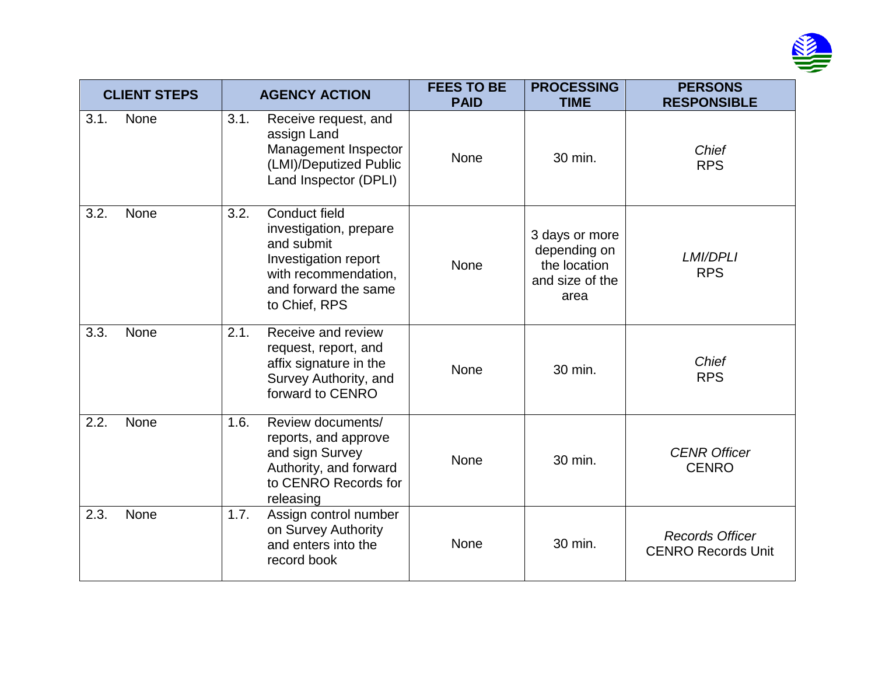

| <b>CLIENT STEPS</b> |      | <b>AGENCY ACTION</b> |                                                                                                                                                | <b>FEES TO BE</b><br><b>PAID</b> | <b>PROCESSING</b><br><b>TIME</b>                                          | <b>PERSONS</b><br><b>RESPONSIBLE</b>                |
|---------------------|------|----------------------|------------------------------------------------------------------------------------------------------------------------------------------------|----------------------------------|---------------------------------------------------------------------------|-----------------------------------------------------|
| 3.1.                | None | 3.1.                 | Receive request, and<br>assign Land<br>Management Inspector<br>(LMI)/Deputized Public<br>Land Inspector (DPLI)                                 | <b>None</b>                      | 30 min.                                                                   | Chief<br><b>RPS</b>                                 |
| 3.2.                | None | 3.2.                 | Conduct field<br>investigation, prepare<br>and submit<br>Investigation report<br>with recommendation,<br>and forward the same<br>to Chief, RPS | None                             | 3 days or more<br>depending on<br>the location<br>and size of the<br>area | <b>LMI/DPLI</b><br><b>RPS</b>                       |
| 3.3.                | None | 2.1.                 | Receive and review<br>request, report, and<br>affix signature in the<br>Survey Authority, and<br>forward to CENRO                              | None                             | 30 min.                                                                   | Chief<br><b>RPS</b>                                 |
| 2.2.                | None | 1.6.                 | Review documents/<br>reports, and approve<br>and sign Survey<br>Authority, and forward<br>to CENRO Records for<br>releasing                    | None                             | 30 min.                                                                   | <b>CENR Officer</b><br><b>CENRO</b>                 |
| 2.3.                | None | 1.7.                 | Assign control number<br>on Survey Authority<br>and enters into the<br>record book                                                             | None                             | 30 min.                                                                   | <b>Records Officer</b><br><b>CENRO Records Unit</b> |